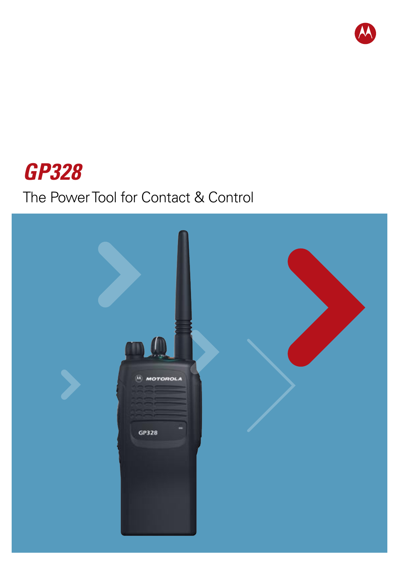

# **GP328**

# The Power Tool for Contact & Control

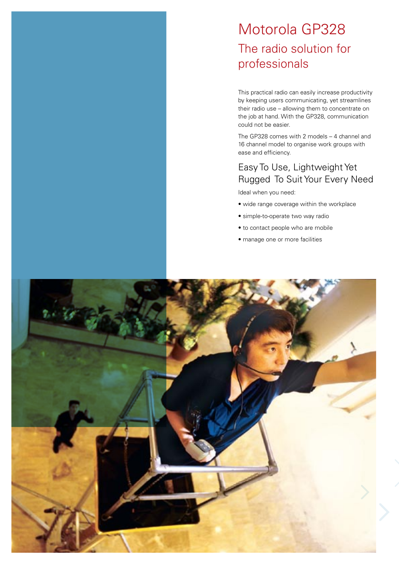## Motorola GP328 The radio solution for professionals

This practical radio can easily increase productivity by keeping users communicating, yet streamlines their radio use – allowing them to concentrate on the job at hand. With the GP328, communication could not be easier.

The GP328 comes with 2 models – 4 channel and 16 channel model to organise work groups with ease and efficiency.

## Easy To Use, Lightweight Yet Rugged To Suit Your Every Need

Ideal when you need:

- wide range coverage within the workplace
- simple-to-operate two way radio
- to contact people who are mobile
- manage one or more facilities

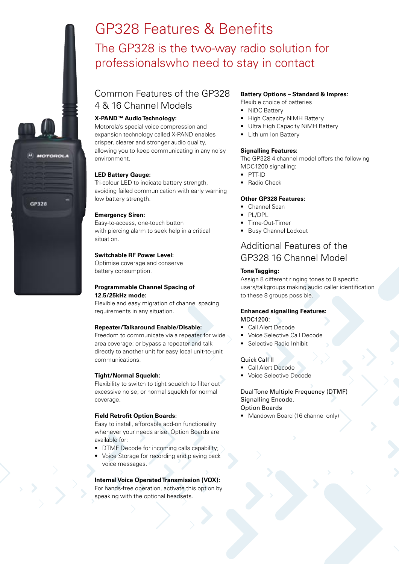## GP328 Features & Benefits The GP328 is the two-way radio solution for professionalswho need to stay in contact

## Common Features of the GP328 4 & 16 Channel Models



Motorola's special voice compression and expansion technology called X-PAND enables crisper, clearer and stronger audio quality, allowing you to keep communicating in any noisy environment.

#### **LED Battery Gauge:**

Tri-colour LED to indicate battery strength, avoiding failed communication with early warning low battery strength.

#### **Emergency Siren:**

Easy-to-access, one-touch button with piercing alarm to seek help in a critical situation.

#### **Switchable RF Power Level:**

Optimise coverage and conserve battery consumption.

#### **Programmable Channel Spacing of 12.5/25kHz mode:**

Flexible and easy migration of channel spacing requirements in any situation.

#### **Repeater/Talkaround Enable/Disable:**

Freedom to communicate via a repeater for wide area coverage; or bypass a repeater and talk directly to another unit for easy local unit-to-unit communications.

#### **Tight/Normal Squelch:**

Flexibility to switch to tight squelch to filter out excessive noise; or normal squelch for normal coverage.

#### **Field Retrofit Option Boards:**

Easy to install, affordable add-on functionality whenever your needs arise. Option Boards are available for:

- DTMF Decode for incoming calls capability;
- Voice Storage for recording and playing back voice messages.

#### **Internal Voice Operated Transmission (VOX):**

For hands-free operation, activate this option by speaking with the optional headsets.

#### **Battery Options – Standard & Impres:**

- Flexible choice of batteries
- NiDC Battery
- High Capacity NiMH Battery
- Ultra High Capacity NiMH Battery
- Lithium Ion Battery

#### **Signalling Features:**

The GP328 4 channel model offers the following MDC1200 signalling:

- PTT-ID
- Radio Check

#### **Other GP328 Features:**

- Channel Scan
- PL/DPL
- Time-Out-Timer
- Busy Channel Lockout

### Additional Features of the GP328 16 Channel Model

#### **Tone Tagging:**

Assign 8 different ringing tones to 8 specific users/talkgroups making audio caller identification to these 8 groups possible.

#### **Enhanced signalling Features:** MDC1200:

- Call Alert Decode
- Voice Selective Call Decode
- Selective Radio Inhibit

#### Quick Call ll

- Call Alert Decode
- Voice Selective Decode

#### Dual Tone Multiple Frequency (DTMF) Signalling Encode. Option Boards

• Mandown Board (16 channel only)



**HOTOROLA**